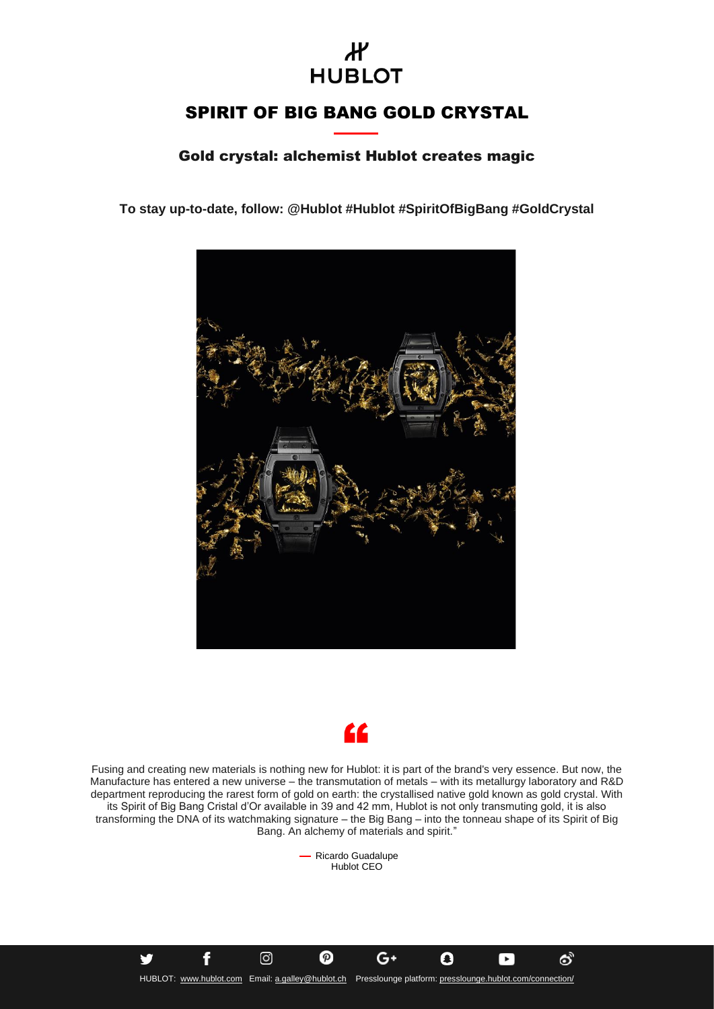## $\boldsymbol{\mathcal{H}}$ **HUBLOT**

## SPIRIT OF BIG BANG GOLD CRYSTAL

Gold crystal: alchemist Hublot creates magic

**To stay up-to-date, follow: @Hublot #Hublot #SpiritOfBigBang #GoldCrystal**





Fusing and creating new materials is nothing new for Hublot: it is part of the brand's very essence. But now, the Manufacture has entered a new universe – the transmutation of metals – with its metallurgy laboratory and R&D department reproducing the rarest form of gold on earth: the crystallised native gold known as gold crystal. With its Spirit of Big Bang Cristal d'Or available in 39 and 42 mm, Hublot is not only transmuting gold, it is also transforming the DNA of its watchmaking signature – the Big Bang – into the tonneau shape of its Spirit of Big Bang. An alchemy of materials and spirit."

> - Ricardo Guadalupe Hublot CEO

HUBLOT: [www.hublot.com](http://www.hublot.com/) Email[: a.galley@hublot.ch](mailto:a.galley@hublot.ch) Presslounge platform[: presslounge.hublot.com/connection/](https://presslounge.hublot.com/connection/)

 $G+$ 

O

 $\blacktriangleright$ 

යි

の

f

ම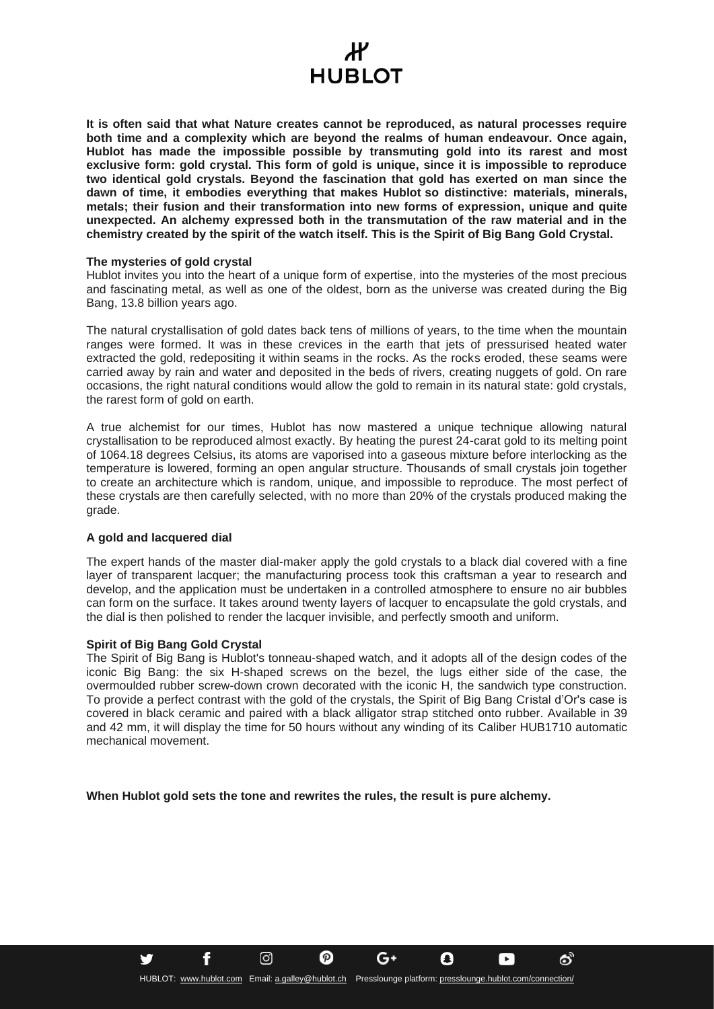## Ж **HUBLOT**

**It is often said that what Nature creates cannot be reproduced, as natural processes require both time and a complexity which are beyond the realms of human endeavour. Once again, Hublot has made the impossible possible by transmuting gold into its rarest and most exclusive form: gold crystal. This form of gold is unique, since it is impossible to reproduce two identical gold crystals. Beyond the fascination that gold has exerted on man since the dawn of time, it embodies everything that makes Hublot so distinctive: materials, minerals, metals; their fusion and their transformation into new forms of expression, unique and quite unexpected. An alchemy expressed both in the transmutation of the raw material and in the chemistry created by the spirit of the watch itself. This is the Spirit of Big Bang Gold Crystal.**

### **The mysteries of gold crystal**

Hublot invites you into the heart of a unique form of expertise, into the mysteries of the most precious and fascinating metal, as well as one of the oldest, born as the universe was created during the Big Bang, 13.8 billion years ago.

The natural crystallisation of gold dates back tens of millions of years, to the time when the mountain ranges were formed. It was in these crevices in the earth that jets of pressurised heated water extracted the gold, redepositing it within seams in the rocks. As the rocks eroded, these seams were carried away by rain and water and deposited in the beds of rivers, creating nuggets of gold. On rare occasions, the right natural conditions would allow the gold to remain in its natural state: gold crystals, the rarest form of gold on earth.

A true alchemist for our times, Hublot has now mastered a unique technique allowing natural crystallisation to be reproduced almost exactly. By heating the purest 24-carat gold to its melting point of 1064.18 degrees Celsius, its atoms are vaporised into a gaseous mixture before interlocking as the temperature is lowered, forming an open angular structure. Thousands of small crystals join together to create an architecture which is random, unique, and impossible to reproduce. The most perfect of these crystals are then carefully selected, with no more than 20% of the crystals produced making the grade.

### **A gold and lacquered dial**

The expert hands of the master dial-maker apply the gold crystals to a black dial covered with a fine layer of transparent lacquer; the manufacturing process took this craftsman a year to research and develop, and the application must be undertaken in a controlled atmosphere to ensure no air bubbles can form on the surface. It takes around twenty layers of lacquer to encapsulate the gold crystals, and the dial is then polished to render the lacquer invisible, and perfectly smooth and uniform.

### **Spirit of Big Bang Gold Crystal**

f

<u>ଟ</u>

The Spirit of Big Bang is Hublot's tonneau-shaped watch, and it adopts all of the design codes of the iconic Big Bang: the six H-shaped screws on the bezel, the lugs either side of the case, the overmoulded rubber screw-down crown decorated with the iconic H, the sandwich type construction. To provide a perfect contrast with the gold of the crystals, the Spirit of Big Bang Cristal d'Or's case is covered in black ceramic and paired with a black alligator strap stitched onto rubber. Available in 39 and 42 mm, it will display the time for 50 hours without any winding of its Caliber HUB1710 automatic mechanical movement.

**When Hublot gold sets the tone and rewrites the rules, the result is pure alchemy.** 

G+

Ω

×

යි

の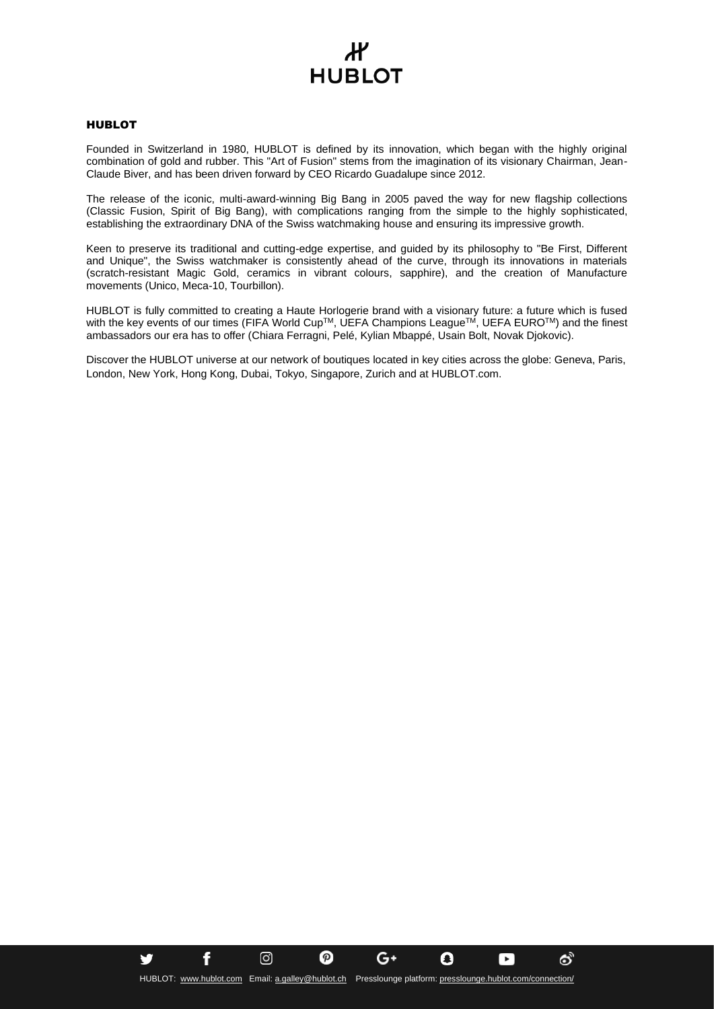# Ж **HUBLOT**

### HUBLOT

Founded in Switzerland in 1980, HUBLOT is defined by its innovation, which began with the highly original combination of gold and rubber. This "Art of Fusion" stems from the imagination of its visionary Chairman, Jean-Claude Biver, and has been driven forward by CEO Ricardo Guadalupe since 2012.

The release of the iconic, multi-award-winning Big Bang in 2005 paved the way for new flagship collections (Classic Fusion, Spirit of Big Bang), with complications ranging from the simple to the highly sophisticated, establishing the extraordinary DNA of the Swiss watchmaking house and ensuring its impressive growth.

Keen to preserve its traditional and cutting-edge expertise, and guided by its philosophy to "Be First, Different and Unique", the Swiss watchmaker is consistently ahead of the curve, through its innovations in materials (scratch-resistant Magic Gold, ceramics in vibrant colours, sapphire), and the creation of Manufacture movements (Unico, Meca-10, Tourbillon).

HUBLOT is fully committed to creating a Haute Horlogerie brand with a visionary future: a future which is fused with the key events of our times (FIFA World Cup™, UEFA Champions League™, UEFA EURO™) and the finest ambassadors our era has to offer (Chiara Ferragni, Pelé, Kylian Mbappé, Usain Bolt, Novak Djokovic).

Discover the HUBLOT universe at our network of boutiques located in key cities across the globe: Geneva, Paris, London, New York, Hong Kong, Dubai, Tokyo, Singapore, Zurich and at HUBLOT.com.

G+

Q

 $\blacktriangleright$ 

යි

の

f

<u>ଟ</u>